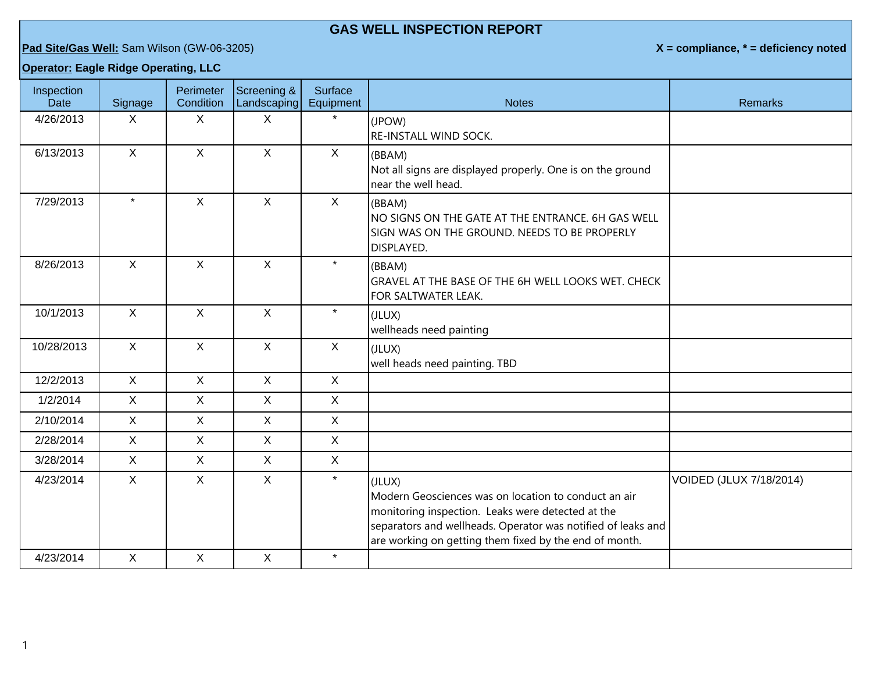## **GAS WELL INSPECTION REPORT**

**Pad Site/Gas Well:** Sam Wilson (GW-06-3205) **X = compliance, \* = deficiency noted**

## **Operator: Eagle Ridge Operating, LLC**

| Inspection<br><b>Date</b> | Signage        | Perimeter<br>Condition | Screening &<br>Landscaping | <b>Surface</b><br>Equipment | <b>Notes</b>                                                                                                                                                                                                                                  | <b>Remarks</b>          |
|---------------------------|----------------|------------------------|----------------------------|-----------------------------|-----------------------------------------------------------------------------------------------------------------------------------------------------------------------------------------------------------------------------------------------|-------------------------|
| 4/26/2013                 | X.             | X                      | X                          | $\star$                     | (JPOW)<br><b>RE-INSTALL WIND SOCK.</b>                                                                                                                                                                                                        |                         |
| 6/13/2013                 | $\mathsf{X}$   | $\mathsf{X}$           | $\mathsf{X}$               | $\mathsf{X}$                | (BBAM)<br>Not all signs are displayed properly. One is on the ground<br>near the well head.                                                                                                                                                   |                         |
| 7/29/2013                 | $\star$        | $\mathsf{X}$           | $\mathsf{X}$               | $\mathsf{X}$                | (BBAM)<br>$\sf \overline{\sf \rule[0.5ex]{0.1ex}{1.5ex}\hspace{0.5ex}}$ NO SIGNS ON THE GATE AT THE ENTRANCE. 6H GAS WELL<br>SIGN WAS ON THE GROUND. NEEDS TO BE PROPERLY<br>Idisplayed.                                                      |                         |
| 8/26/2013                 | $\mathsf{X}$   | $\mathsf{X}$           | $\mathsf{X}$               | $\star$                     | (BBAM)<br>GRAVEL AT THE BASE OF THE 6H WELL LOOKS WET. CHECK<br>FOR SALTWATER LEAK.                                                                                                                                                           |                         |
| 10/1/2013                 | $\mathsf{X}$   | $\mathsf{X}$           | $\mathsf{X}$               | $\star$                     | (JLUX)<br>wellheads need painting                                                                                                                                                                                                             |                         |
| 10/28/2013                | $\mathsf{X}$   | $\mathsf{X}$           | $\mathsf{X}$               | $\mathsf{X}$                | (JLUX)<br>well heads need painting. TBD                                                                                                                                                                                                       |                         |
| 12/2/2013                 | $\overline{X}$ | $\mathsf{X}$           | $\mathsf{X}$               | $\mathsf{X}$                |                                                                                                                                                                                                                                               |                         |
| 1/2/2014                  | $\mathsf{X}$   | $\mathsf{X}$           | $\mathsf{X}$               | $\mathsf{X}$                |                                                                                                                                                                                                                                               |                         |
| 2/10/2014                 | X              | $\mathsf{X}$           | $\mathsf{X}$               | $\mathsf{X}$                |                                                                                                                                                                                                                                               |                         |
| 2/28/2014                 | $\mathsf{X}$   | $\mathsf{X}$           | $\mathsf{X}$               | $\mathsf X$                 |                                                                                                                                                                                                                                               |                         |
| 3/28/2014                 | $\mathsf{X}$   | $\mathsf{X}$           | $\mathsf{X}$               | $\mathsf{X}$                |                                                                                                                                                                                                                                               |                         |
| 4/23/2014                 | X              | $\mathsf{X}$           | $\mathsf{X}$               | $\star$                     | (JLUX)<br>Modern Geosciences was on location to conduct an air<br>monitoring inspection. Leaks were detected at the<br>separators and wellheads. Operator was notified of leaks and<br>are working on getting them fixed by the end of month. | VOIDED (JLUX 7/18/2014) |
| 4/23/2014                 | $\mathsf{X}$   | X                      | $\mathsf{X}$               | $\star$                     |                                                                                                                                                                                                                                               |                         |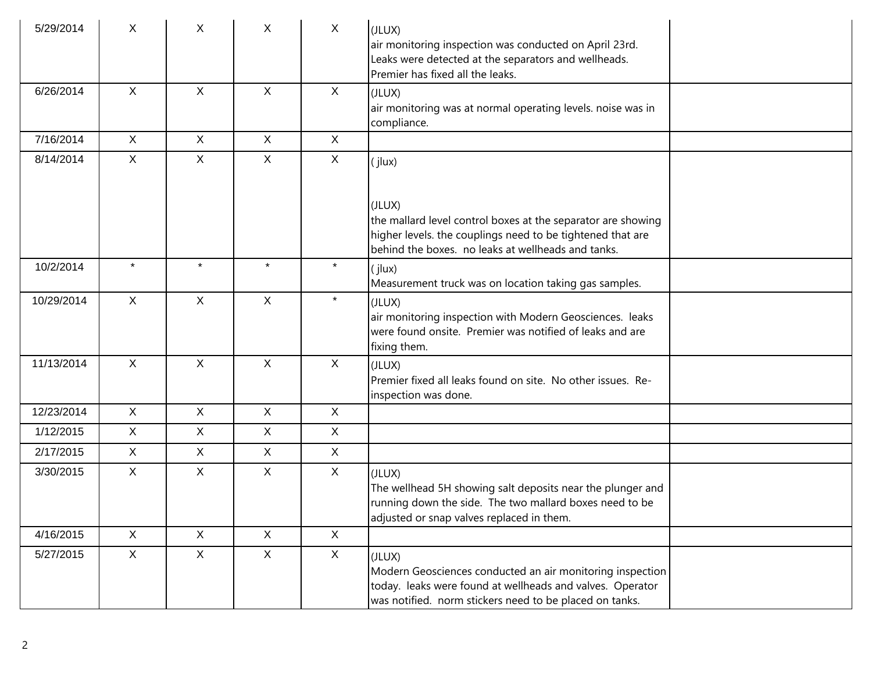| 5/29/2014  | X            | X            | X            | $\mathsf{X}$ | (JLUX)<br>air monitoring inspection was conducted on April 23rd.<br>Leaks were detected at the separators and wellheads.<br>Premier has fixed all the leaks.                                |
|------------|--------------|--------------|--------------|--------------|---------------------------------------------------------------------------------------------------------------------------------------------------------------------------------------------|
| 6/26/2014  | $\mathsf{X}$ | $\mathsf{X}$ | $\mathsf{X}$ | X            | (JLUX)<br>air monitoring was at normal operating levels. noise was in<br>compliance.                                                                                                        |
| 7/16/2014  | X            | X            | X            | $\mathsf{X}$ |                                                                                                                                                                                             |
| 8/14/2014  | X            | X            | X            | $\sf X$      | (jlux)                                                                                                                                                                                      |
|            |              |              |              |              | (JLUX)<br>the mallard level control boxes at the separator are showing<br>higher levels. the couplings need to be tightened that are<br>behind the boxes. no leaks at wellheads and tanks.  |
| 10/2/2014  | $\star$      | $\star$      | $\star$      | $\star$      | (jlux)<br>Measurement truck was on location taking gas samples.                                                                                                                             |
| 10/29/2014 | $\mathsf{X}$ | $\mathsf{X}$ | $\mathsf{X}$ | $\star$      | (JLUX)<br>air monitoring inspection with Modern Geosciences. leaks<br>lwere found onsite. Premier was notified of leaks and are<br>fixing them.                                             |
| 11/13/2014 | $\mathsf{X}$ | $\mathsf{X}$ | $\mathsf{X}$ | $\sf X$      | (JLUX)<br>Premier fixed all leaks found on site. No other issues. Re-<br>inspection was done.                                                                                               |
| 12/23/2014 | X            | X            | $\mathsf{X}$ | $\sf X$      |                                                                                                                                                                                             |
| 1/12/2015  | X            | $\mathsf{X}$ | $\mathsf{X}$ | $\mathsf{X}$ |                                                                                                                                                                                             |
| 2/17/2015  | X            | X            | $\mathsf{X}$ | $\mathsf{X}$ |                                                                                                                                                                                             |
| 3/30/2015  | X            | $\mathsf{X}$ | $\mathsf{X}$ | $\mathsf{X}$ | (JLUX)<br>The wellhead 5H showing salt deposits near the plunger and<br>running down the side. The two mallard boxes need to be<br>adjusted or snap valves replaced in them.                |
| 4/16/2015  | $\mathsf{X}$ | X            | $\mathsf{X}$ | X            |                                                                                                                                                                                             |
| 5/27/2015  | $\mathsf{X}$ | $\mathsf{X}$ | $\mathsf{X}$ | $\mathsf{X}$ | (JLUX)<br>Modern Geosciences conducted an air monitoring inspection<br>today. leaks were found at wellheads and valves. Operator<br>was notified. norm stickers need to be placed on tanks. |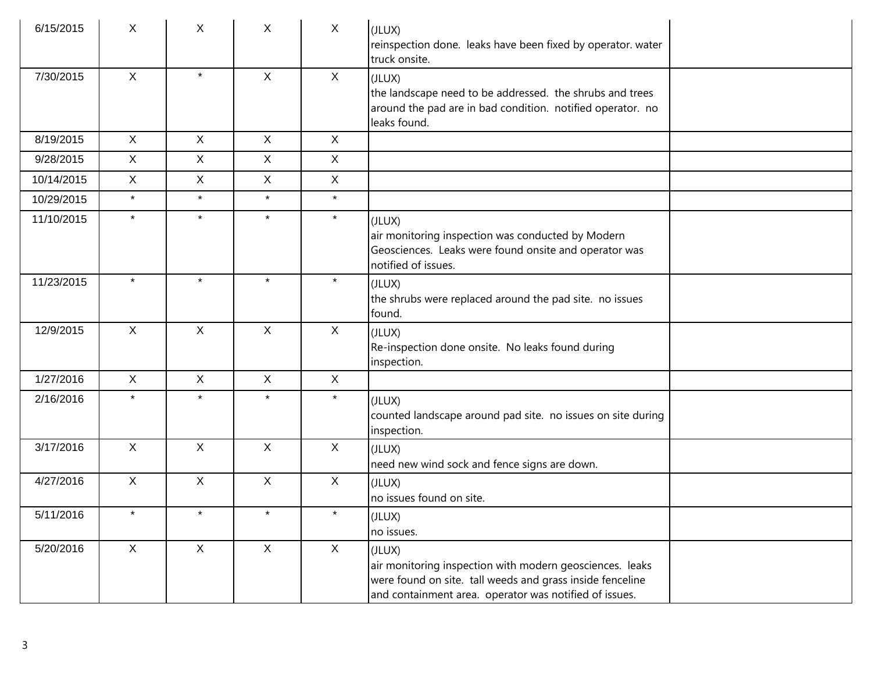| 6/15/2015  | X            | X            | $\mathsf{X}$ | $\mathsf{X}$ | (JLUX)<br>reinspection done. leaks have been fixed by operator. water<br>truck onsite.                                                                                                    |
|------------|--------------|--------------|--------------|--------------|-------------------------------------------------------------------------------------------------------------------------------------------------------------------------------------------|
| 7/30/2015  | $\mathsf{X}$ | $\star$      | $\mathsf{X}$ | $\mathsf{X}$ | (JLUX)<br>the landscape need to be addressed. the shrubs and trees<br>around the pad are in bad condition. notified operator. no<br>leaks found.                                          |
| 8/19/2015  | X            | $\mathsf{X}$ | $\mathsf{X}$ | $\sf X$      |                                                                                                                                                                                           |
| 9/28/2015  | X            | X            | $\mathsf{X}$ | $\sf X$      |                                                                                                                                                                                           |
| 10/14/2015 | X            | X            | $\mathsf X$  | $\sf X$      |                                                                                                                                                                                           |
| 10/29/2015 | $\star$      | $\star$      | $\star$      | $\star$      |                                                                                                                                                                                           |
| 11/10/2015 | $\star$      | $\star$      | $\star$      | $\star$      | (JLUX)<br>air monitoring inspection was conducted by Modern<br>Geosciences. Leaks were found onsite and operator was<br>notified of issues.                                               |
| 11/23/2015 | $\star$      | $\star$      | $\star$      | $\star$      | (JLUX)<br>the shrubs were replaced around the pad site. no issues<br>found.                                                                                                               |
| 12/9/2015  | $\mathsf{X}$ | $\mathsf{X}$ | $\mathsf X$  | $\mathsf{X}$ | (JLUX)<br>Re-inspection done onsite. No leaks found during<br>inspection.                                                                                                                 |
| 1/27/2016  | $\mathsf{X}$ | $\mathsf{X}$ | $\mathsf{X}$ | $\sf X$      |                                                                                                                                                                                           |
| 2/16/2016  | $\star$      | $\star$      | $\star$      | $\star$      | (JLUX)<br>counted landscape around pad site. no issues on site during<br>inspection.                                                                                                      |
| 3/17/2016  | $\mathsf{X}$ | X            | $\mathsf{X}$ | $\mathsf{X}$ | (JLUX)<br>need new wind sock and fence signs are down.                                                                                                                                    |
| 4/27/2016  | $\mathsf{X}$ | $\mathsf{X}$ | $\mathsf X$  | $\mathsf{X}$ | (JLUX)<br>no issues found on site.                                                                                                                                                        |
| 5/11/2016  | $\star$      | $\star$      | $\star$      | $\star$      | (JLUX)<br>no issues.                                                                                                                                                                      |
| 5/20/2016  | $\mathsf{X}$ | $\mathsf X$  | $\mathsf{X}$ | X            | (JLUX)<br>air monitoring inspection with modern geosciences. leaks<br>were found on site. tall weeds and grass inside fenceline<br>and containment area. operator was notified of issues. |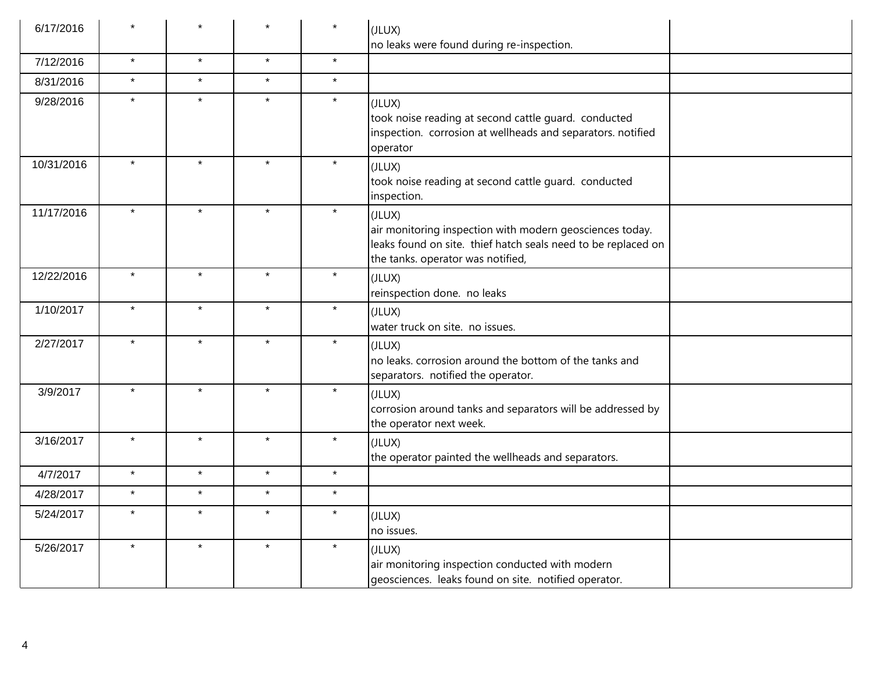| 6/17/2016  |         |         |         | $\star$ | (JLUX)<br>no leaks were found during re-inspection.                                                                                                                      |
|------------|---------|---------|---------|---------|--------------------------------------------------------------------------------------------------------------------------------------------------------------------------|
| 7/12/2016  | $\star$ | $\star$ | $\star$ | $\star$ |                                                                                                                                                                          |
| 8/31/2016  | $\star$ | $\star$ | $\star$ | $\star$ |                                                                                                                                                                          |
| 9/28/2016  | $\star$ | $\star$ | $\star$ | $\star$ | (JLUX)<br>took noise reading at second cattle guard. conducted<br>inspection. corrosion at wellheads and separators. notified<br>operator                                |
| 10/31/2016 | $\star$ | $\star$ | $\star$ | $\star$ | (JLUX)<br>took noise reading at second cattle guard. conducted<br>inspection.                                                                                            |
| 11/17/2016 | $\star$ | $\star$ | $\star$ | $\star$ | (JLUX)<br>air monitoring inspection with modern geosciences today.<br>leaks found on site. thief hatch seals need to be replaced on<br>the tanks. operator was notified, |
| 12/22/2016 | $\star$ | $\star$ | $\star$ | $\star$ | (JLUX)<br>reinspection done. no leaks                                                                                                                                    |
| 1/10/2017  | $\star$ | $\star$ | $\star$ | $\star$ | (JLUX)<br>water truck on site. no issues.                                                                                                                                |
| 2/27/2017  | $\star$ | $\star$ | $\star$ | $\star$ | (JLUX)<br>no leaks. corrosion around the bottom of the tanks and<br>separators. notified the operator.                                                                   |
| 3/9/2017   | $\star$ | $\star$ | $\star$ | $\star$ | (JLUX)<br>corrosion around tanks and separators will be addressed by<br>the operator next week.                                                                          |
| 3/16/2017  | $\star$ | $\star$ | $\star$ | $\star$ | (JLUX)<br>the operator painted the wellheads and separators.                                                                                                             |
| 4/7/2017   | $\star$ | $\star$ | $\star$ | $\star$ |                                                                                                                                                                          |
| 4/28/2017  | $\star$ | $\star$ | $\star$ | $\star$ |                                                                                                                                                                          |
| 5/24/2017  | $\star$ | $\star$ | $\star$ | $\star$ | (JLUX)<br>no issues.                                                                                                                                                     |
| 5/26/2017  | $\star$ | $\star$ | $\star$ | $\star$ | (JLUX)<br>air monitoring inspection conducted with modern<br>geosciences. leaks found on site. notified operator.                                                        |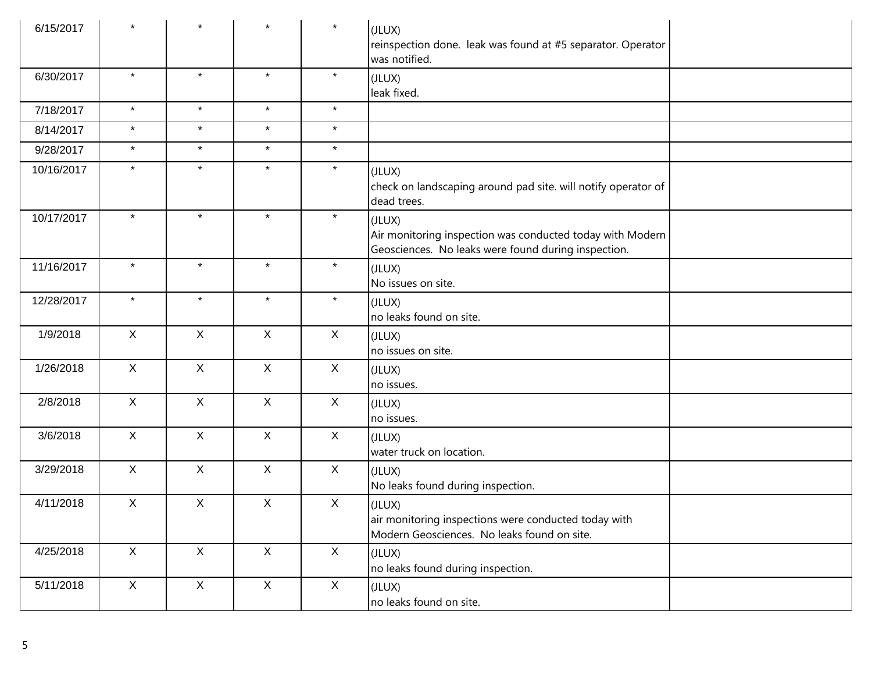| 6/15/2017  | $\star$      | $\star$      | $\star$      | $\star$      | (JLUX)<br>reinspection done. leak was found at #5 separator. Operator<br>was notified.                                     |
|------------|--------------|--------------|--------------|--------------|----------------------------------------------------------------------------------------------------------------------------|
| 6/30/2017  | $\star$      | $\star$      | $\star$      | $\star$      | (JLUX)<br>leak fixed.                                                                                                      |
| 7/18/2017  | $\star$      | $\star$      | $\star$      | $\star$      |                                                                                                                            |
| 8/14/2017  | $\star$      | $\star$      | $\star$      | $\star$      |                                                                                                                            |
| 9/28/2017  | $\star$      | $\star$      | $\star$      | $\star$      |                                                                                                                            |
| 10/16/2017 | $\star$      | $\star$      | $\star$      | $\star$      | (JLUX)<br>check on landscaping around pad site. will notify operator of<br>dead trees.                                     |
| 10/17/2017 | $\star$      | $\star$      | $\star$      | $\star$      | (JLUX)<br>Air monitoring inspection was conducted today with Modern<br>Geosciences. No leaks were found during inspection. |
| 11/16/2017 | $\star$      | $\star$      | $\star$      | $\star$      | (JLUX)<br>No issues on site.                                                                                               |
| 12/28/2017 | $\star$      | $\star$      | $\star$      | $\star$      | (JLUX)<br>no leaks found on site.                                                                                          |
| 1/9/2018   | $\mathsf{X}$ | $\mathsf{X}$ | $\mathsf{X}$ | X            | (JLUX)<br>no issues on site.                                                                                               |
| 1/26/2018  | $\mathsf{X}$ | $\mathsf{X}$ | $\mathsf{X}$ | X            | (JLUX)<br>no issues.                                                                                                       |
| 2/8/2018   | $\mathsf{X}$ | $\mathsf{X}$ | $\mathsf{X}$ | $\mathsf X$  | (JLUX)<br>no issues.                                                                                                       |
| 3/6/2018   | $\mathsf X$  | $\mathsf{X}$ | $\mathsf{X}$ | $\mathsf{X}$ | (JLUX)<br>water truck on location.                                                                                         |
| 3/29/2018  | $\mathsf{X}$ | $\mathsf{X}$ | $\mathsf{X}$ | X            | (JLUX)<br>No leaks found during inspection.                                                                                |
| 4/11/2018  | $\mathsf X$  | $\mathsf{X}$ | $\mathsf X$  | $\mathsf X$  | (JLUX)<br>air monitoring inspections were conducted today with<br>Modern Geosciences. No leaks found on site.              |
| 4/25/2018  | X            | $\mathsf{X}$ | $\mathsf X$  | X            | (JLUX)<br>no leaks found during inspection.                                                                                |
| 5/11/2018  | $\mathsf{X}$ | $\mathsf X$  | $\mathsf X$  | X            | (JLUX)<br>no leaks found on site.                                                                                          |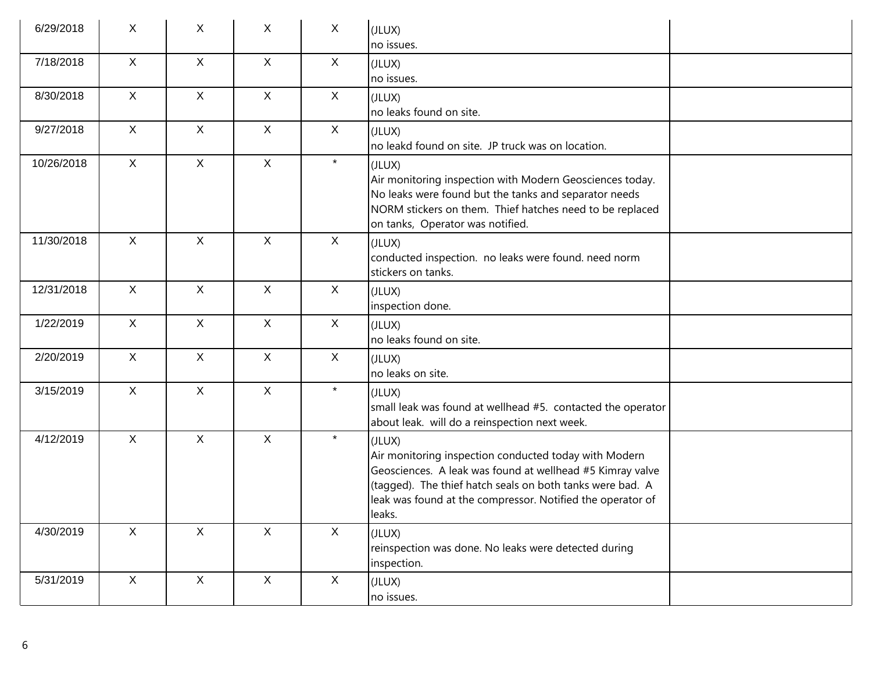| 6/29/2018  | X            | X            | X            | X            | (JLUX)<br>no issues.                                                                                                                                                                                                                                              |  |
|------------|--------------|--------------|--------------|--------------|-------------------------------------------------------------------------------------------------------------------------------------------------------------------------------------------------------------------------------------------------------------------|--|
| 7/18/2018  | $\mathsf{X}$ | $\mathsf{X}$ | $\mathsf{X}$ | $\mathsf{X}$ | (JLUX)<br>no issues.                                                                                                                                                                                                                                              |  |
| 8/30/2018  | $\mathsf{X}$ | $\mathsf{X}$ | $\mathsf{X}$ | $\mathsf{X}$ | (JLUX)<br>no leaks found on site.                                                                                                                                                                                                                                 |  |
| 9/27/2018  | $\mathsf{X}$ | $\mathsf{X}$ | $\mathsf{X}$ | $\mathsf{X}$ | (JLUX)<br>no leakd found on site. JP truck was on location.                                                                                                                                                                                                       |  |
| 10/26/2018 | $\mathsf{X}$ | $\mathsf{X}$ | $\mathsf{X}$ | $\star$      | (JLUX)<br>Air monitoring inspection with Modern Geosciences today.<br>No leaks were found but the tanks and separator needs<br>NORM stickers on them. Thief hatches need to be replaced<br>on tanks, Operator was notified.                                       |  |
| 11/30/2018 | $\mathsf{X}$ | $\mathsf{X}$ | $\mathsf{X}$ | $\mathsf{X}$ | (JLUX)<br>conducted inspection. no leaks were found. need norm<br>stickers on tanks.                                                                                                                                                                              |  |
| 12/31/2018 | $\mathsf{X}$ | $\mathsf{X}$ | $\mathsf{X}$ | $\mathsf{X}$ | (JLUX)<br>inspection done.                                                                                                                                                                                                                                        |  |
| 1/22/2019  | $\sf X$      | $\mathsf{X}$ | $\mathsf{X}$ | $\mathsf{X}$ | (JLUX)<br>no leaks found on site.                                                                                                                                                                                                                                 |  |
| 2/20/2019  | $\mathsf{X}$ | $\mathsf{X}$ | $\mathsf{X}$ | $\mathsf{X}$ | (JLUX)<br>no leaks on site.                                                                                                                                                                                                                                       |  |
| 3/15/2019  | $\mathsf{X}$ | $\mathsf{X}$ | $\mathsf{X}$ | $\star$      | (JLUX)<br>small leak was found at wellhead #5. contacted the operator<br>about leak. will do a reinspection next week.                                                                                                                                            |  |
| 4/12/2019  | $\mathsf{X}$ | $\mathsf{X}$ | $\mathsf{X}$ | $\star$      | (JLUX)<br>Air monitoring inspection conducted today with Modern<br>Geosciences. A leak was found at wellhead #5 Kimray valve<br>(tagged). The thief hatch seals on both tanks were bad. A<br>leak was found at the compressor. Notified the operator of<br>leaks. |  |
| 4/30/2019  | $\mathsf{X}$ | $\mathsf{X}$ | $\mathsf{X}$ | $\mathsf{X}$ | (JLUX)<br>reinspection was done. No leaks were detected during<br>inspection.                                                                                                                                                                                     |  |
| 5/31/2019  | $\mathsf X$  | $\mathsf X$  | $\mathsf{X}$ | $\mathsf{X}$ | (JLUX)<br>no issues.                                                                                                                                                                                                                                              |  |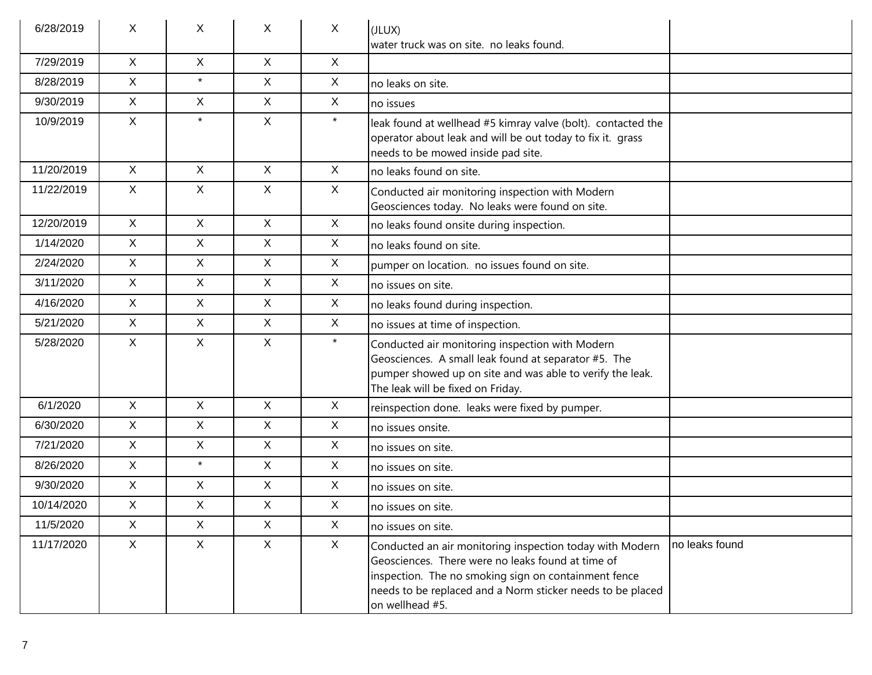| 6/28/2019  | X            | X            | X            | $\mathsf{X}$ | (JLUX)                                                                                                                                                                                                                                                 |                |
|------------|--------------|--------------|--------------|--------------|--------------------------------------------------------------------------------------------------------------------------------------------------------------------------------------------------------------------------------------------------------|----------------|
|            |              |              |              |              | water truck was on site. no leaks found.                                                                                                                                                                                                               |                |
| 7/29/2019  | $\mathsf{X}$ | $\mathsf{X}$ | $\mathsf{X}$ | $\mathsf{X}$ |                                                                                                                                                                                                                                                        |                |
| 8/28/2019  | $\mathsf{X}$ | $\star$      | X            | $\mathsf{X}$ | no leaks on site.                                                                                                                                                                                                                                      |                |
| 9/30/2019  | $\mathsf{X}$ | X            | $\mathsf{X}$ | $\mathsf{X}$ | no issues                                                                                                                                                                                                                                              |                |
| 10/9/2019  | $\mathsf{X}$ | $\star$      | $\mathsf{X}$ | $\star$      | leak found at wellhead #5 kimray valve (bolt). contacted the<br>operator about leak and will be out today to fix it. grass<br>needs to be mowed inside pad site.                                                                                       |                |
| 11/20/2019 | $\mathsf{X}$ | X            | $\mathsf{X}$ | $\mathsf{X}$ | no leaks found on site.                                                                                                                                                                                                                                |                |
| 11/22/2019 | $\mathsf{X}$ | X            | X            | X            | Conducted air monitoring inspection with Modern<br>Geosciences today. No leaks were found on site.                                                                                                                                                     |                |
| 12/20/2019 | X            | X            | $\mathsf{X}$ | $\mathsf{X}$ | no leaks found onsite during inspection.                                                                                                                                                                                                               |                |
| 1/14/2020  | $\mathsf{X}$ | X            | $\mathsf{X}$ | $\mathsf{X}$ | no leaks found on site.                                                                                                                                                                                                                                |                |
| 2/24/2020  | $\mathsf{X}$ | X            | $\mathsf{X}$ | $\mathsf{X}$ | pumper on location. no issues found on site.                                                                                                                                                                                                           |                |
| 3/11/2020  | $\mathsf{X}$ | X            | $\mathsf{X}$ | $\mathsf{X}$ | no issues on site.                                                                                                                                                                                                                                     |                |
| 4/16/2020  | $\mathsf{X}$ | X            | $\mathsf{X}$ | $\mathsf{X}$ | no leaks found during inspection.                                                                                                                                                                                                                      |                |
| 5/21/2020  | $\mathsf{X}$ | X            | $\mathsf{X}$ | $\mathsf{X}$ | no issues at time of inspection.                                                                                                                                                                                                                       |                |
| 5/28/2020  | $\mathsf{X}$ | X            | $\mathsf{X}$ | $\star$      | Conducted air monitoring inspection with Modern<br>Geosciences. A small leak found at separator #5. The<br>pumper showed up on site and was able to verify the leak.<br>The leak will be fixed on Friday.                                              |                |
| 6/1/2020   | $\mathsf{X}$ | X            | $\mathsf{X}$ | $\mathsf{X}$ | reinspection done. leaks were fixed by pumper.                                                                                                                                                                                                         |                |
| 6/30/2020  | $\mathsf{X}$ | X            | X            | $\mathsf{X}$ | no issues onsite.                                                                                                                                                                                                                                      |                |
| 7/21/2020  | $\mathsf{X}$ | X            | $\mathsf{X}$ | $\mathsf{X}$ | no issues on site.                                                                                                                                                                                                                                     |                |
| 8/26/2020  | $\mathsf{X}$ | $\star$      | X            | X            | no issues on site.                                                                                                                                                                                                                                     |                |
| 9/30/2020  | X            | X            | $\mathsf{X}$ | $\mathsf{X}$ | no issues on site.                                                                                                                                                                                                                                     |                |
| 10/14/2020 | X            | X            | X            | $\mathsf{X}$ | Ino issues on site.                                                                                                                                                                                                                                    |                |
| 11/5/2020  | $\mathsf{X}$ | X            | $\mathsf{X}$ | X            | no issues on site.                                                                                                                                                                                                                                     |                |
| 11/17/2020 | X            | $\mathsf{X}$ | $\mathsf{X}$ | $\mathsf{X}$ | Conducted an air monitoring inspection today with Modern<br>Geosciences. There were no leaks found at time of<br>inspection. The no smoking sign on containment fence<br>needs to be replaced and a Norm sticker needs to be placed<br>on wellhead #5. | no leaks found |